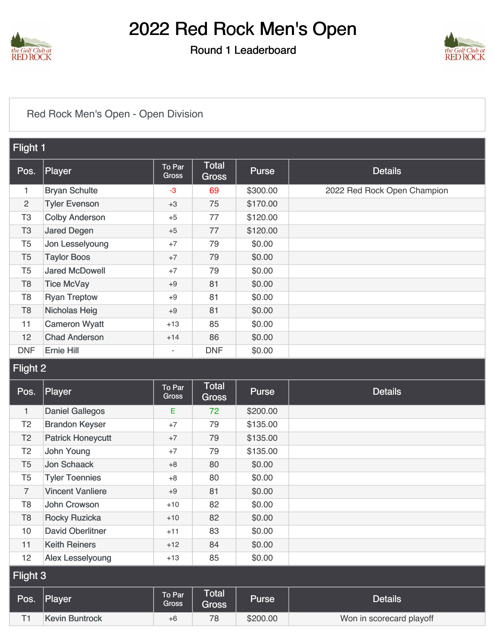

### Round 1 Leaderboard



### [Red Rock Men's Open - Open Division](https://static.golfgenius.com/v2tournaments/8437224179173971138?called_from=&round_index=1)

| Flight 1       |                       |                          |                       |          |                             |  |
|----------------|-----------------------|--------------------------|-----------------------|----------|-----------------------------|--|
| Pos.           | Player                | To Par<br>Gross          | <b>Total</b><br>Gross | Purse    | <b>Details</b>              |  |
| 1              | <b>Bryan Schulte</b>  | $-3$                     | 69                    | \$300.00 | 2022 Red Rock Open Champion |  |
| $\overline{2}$ | <b>Tyler Evenson</b>  | $+3$                     | 75                    | \$170.00 |                             |  |
| T <sub>3</sub> | <b>Colby Anderson</b> | $+5$                     | 77                    | \$120.00 |                             |  |
| T <sub>3</sub> | <b>Jared Degen</b>    | $+5$                     | 77                    | \$120.00 |                             |  |
| T <sub>5</sub> | Jon Lesselyoung       | $+7$                     | 79                    | \$0.00   |                             |  |
| T <sub>5</sub> | <b>Taylor Boos</b>    | $+7$                     | 79                    | \$0.00   |                             |  |
| T <sub>5</sub> | <b>Jared McDowell</b> | $+7$                     | 79                    | \$0.00   |                             |  |
| T <sub>8</sub> | <b>Tice McVay</b>     | $+9$                     | 81                    | \$0.00   |                             |  |
| T <sub>8</sub> | <b>Ryan Treptow</b>   | $+9$                     | 81                    | \$0.00   |                             |  |
| T <sub>8</sub> | <b>Nicholas Heig</b>  | $+9$                     | 81                    | \$0.00   |                             |  |
| 11             | <b>Cameron Wyatt</b>  | $+13$                    | 85                    | \$0.00   |                             |  |
| 12             | <b>Chad Anderson</b>  | $+14$                    | 86                    | \$0.00   |                             |  |
| <b>DNF</b>     | <b>Ernie Hill</b>     | $\overline{\phantom{a}}$ | <b>DNF</b>            | \$0.00   |                             |  |

### Flight 2

| Pos.           | Player                   | To Par<br><b>Gross</b> | <b>Total</b><br><b>Gross</b> | <b>Purse</b> | <b>Details</b>           |
|----------------|--------------------------|------------------------|------------------------------|--------------|--------------------------|
| $\mathbf{1}$   | <b>Daniel Gallegos</b>   | E                      | 72                           | \$200.00     |                          |
| T <sub>2</sub> | <b>Brandon Keyser</b>    | $+7$                   | 79                           | \$135.00     |                          |
| T <sub>2</sub> | <b>Patrick Honeycutt</b> | $+7$                   | 79                           | \$135.00     |                          |
| T <sub>2</sub> | John Young               | $+7$                   | 79                           | \$135.00     |                          |
| T <sub>5</sub> | Jon Schaack              | $+8$                   | 80                           | \$0.00       |                          |
| T <sub>5</sub> | <b>Tyler Toennies</b>    | $+8$                   | 80                           | \$0.00       |                          |
| $\overline{7}$ | <b>Vincent Vanliere</b>  | $+9$                   | 81                           | \$0.00       |                          |
| T <sub>8</sub> | John Crowson             | $+10$                  | 82                           | \$0.00       |                          |
| T <sub>8</sub> | <b>Rocky Ruzicka</b>     | $+10$                  | 82                           | \$0.00       |                          |
| 10             | <b>David Oberlitner</b>  | $+11$                  | 83                           | \$0.00       |                          |
| 11             | <b>Keith Reiners</b>     | $+12$                  | 84                           | \$0.00       |                          |
| 12             | Alex Lesselyoung         | $+13$                  | 85                           | \$0.00       |                          |
| Flight 3       |                          |                        |                              |              |                          |
| Pos.           | Player                   | To Par<br>Gross        | <b>Total</b><br>Gross        | Purse        | <b>Details</b>           |
| T1             | <b>Kevin Buntrock</b>    | $+6$                   | 78                           | \$200.00     | Won in scorecard playoff |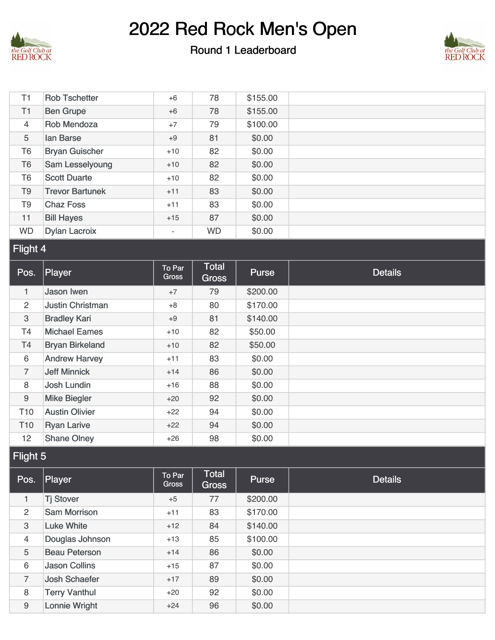

#### Round 1 Leaderboard



| T1               | <b>Rob Tschetter</b>    | $+6$                     | 78                           | \$155.00     |                |  |
|------------------|-------------------------|--------------------------|------------------------------|--------------|----------------|--|
| T1               | <b>Ben Grupe</b>        | $+6$                     | 78                           | \$155.00     |                |  |
| $\overline{4}$   | Rob Mendoza             | $+7$                     | 79                           | \$100.00     |                |  |
| 5                | lan Barse               | $+9$                     | 81                           | \$0.00       |                |  |
| T <sub>6</sub>   | <b>Bryan Guischer</b>   | $+10$                    | 82                           | \$0.00       |                |  |
| T <sub>6</sub>   | Sam Lesselyoung         | $+10$                    | 82                           | \$0.00       |                |  |
| T <sub>6</sub>   | <b>Scott Duarte</b>     | $+10$                    | 82                           | \$0.00       |                |  |
| T <sub>9</sub>   | <b>Trevor Bartunek</b>  | $+11$                    | 83                           | \$0.00       |                |  |
| T <sub>9</sub>   | <b>Chaz Foss</b>        | $+11$                    | 83                           | \$0.00       |                |  |
| 11               | <b>Bill Hayes</b>       | $+15$                    | 87                           | \$0.00       |                |  |
| <b>WD</b>        | <b>Dylan Lacroix</b>    | $\overline{\phantom{a}}$ | <b>WD</b>                    | \$0.00       |                |  |
| Flight 4         |                         |                          |                              |              |                |  |
|                  |                         |                          |                              |              |                |  |
| Pos.             | Player                  | To Par<br><b>Gross</b>   | <b>Total</b><br><b>Gross</b> | <b>Purse</b> | <b>Details</b> |  |
| 1                | Jason Iwen              | $+7$                     | 79                           | \$200.00     |                |  |
| $\overline{2}$   | <b>Justin Christman</b> | $+8$                     | 80                           | \$170.00     |                |  |
| 3                | <b>Bradley Kari</b>     | $+9$                     | 81                           | \$140.00     |                |  |
| T4               | <b>Michael Eames</b>    | $+10$                    | 82                           | \$50.00      |                |  |
| T <sub>4</sub>   | <b>Bryan Birkeland</b>  | $+10$                    | 82                           | \$50.00      |                |  |
| $6\,$            | <b>Andrew Harvey</b>    | $+11$                    | 83                           | \$0.00       |                |  |
| $\overline{7}$   | <b>Jeff Minnick</b>     | $+14$                    | 86                           | \$0.00       |                |  |
| 8                | <b>Josh Lundin</b>      | $+16$                    | 88                           | \$0.00       |                |  |
| $\boldsymbol{9}$ | <b>Mike Biegler</b>     | $+20$                    | 92                           | \$0.00       |                |  |
| T <sub>10</sub>  | <b>Austin Olivier</b>   | $+22$                    | 94                           | \$0.00       |                |  |
| T <sub>10</sub>  | <b>Ryan Larive</b>      | $+22$                    | 94                           | \$0.00       |                |  |

### Flight 5

| Pos.           | Player               | To Par<br>Gross | <b>Total</b><br>Gross | <b>Purse</b> | <b>Details</b> |
|----------------|----------------------|-----------------|-----------------------|--------------|----------------|
| 1              | <b>Tj Stover</b>     | $+5$            | 77                    | \$200.00     |                |
| $\overline{2}$ | <b>Sam Morrison</b>  | $+11$           | 83                    | \$170.00     |                |
| 3              | <b>Luke White</b>    | $+12$           | 84                    | \$140.00     |                |
| 4              | Douglas Johnson      | $+13$           | 85                    | \$100.00     |                |
| 5              | <b>Beau Peterson</b> | $+14$           | 86                    | \$0.00       |                |
| 6              | <b>Jason Collins</b> | $+15$           | 87                    | \$0.00       |                |
| $\overline{7}$ | <b>Josh Schaefer</b> | $+17$           | 89                    | \$0.00       |                |
| 8              | <b>Terry Vanthul</b> | $+20$           | 92                    | \$0.00       |                |
| 9              | <b>Lonnie Wright</b> | $+24$           | 96                    | \$0.00       |                |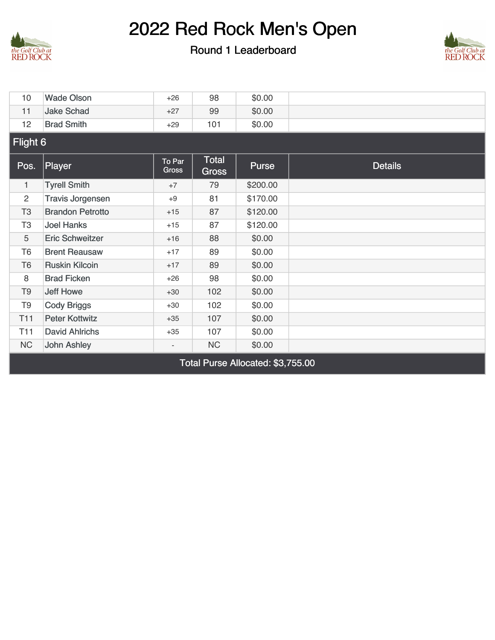

#### Round 1 Leaderboard



| 10              | <b>Wade Olson</b>                 | $+26$           | 98                           | \$0.00   |                |  |  |  |  |
|-----------------|-----------------------------------|-----------------|------------------------------|----------|----------------|--|--|--|--|
| 11              | <b>Jake Schad</b>                 | $+27$           | 99                           | \$0.00   |                |  |  |  |  |
| 12              | <b>Brad Smith</b>                 | $+29$           | 101                          | \$0.00   |                |  |  |  |  |
| Flight 6        |                                   |                 |                              |          |                |  |  |  |  |
| Pos.            | Player                            | To Par<br>Gross | <b>Total</b><br><b>Gross</b> | Purse    | <b>Details</b> |  |  |  |  |
| 1               | <b>Tyrell Smith</b>               | $+7$            | 79                           | \$200.00 |                |  |  |  |  |
| 2               | <b>Travis Jorgensen</b>           | $+9$            | 81                           | \$170.00 |                |  |  |  |  |
| T <sub>3</sub>  | <b>Brandon Petrotto</b>           | $+15$           | 87                           | \$120.00 |                |  |  |  |  |
| T <sub>3</sub>  | <b>Joel Hanks</b>                 | $+15$           | 87                           | \$120.00 |                |  |  |  |  |
| 5               | <b>Eric Schweitzer</b>            | $+16$           | 88                           | \$0.00   |                |  |  |  |  |
| T <sub>6</sub>  | <b>Brent Reausaw</b>              | $+17$           | 89                           | \$0.00   |                |  |  |  |  |
| T <sub>6</sub>  | <b>Ruskin Kilcoin</b>             | $+17$           | 89                           | \$0.00   |                |  |  |  |  |
| 8               | <b>Brad Ficken</b>                | $+26$           | 98                           | \$0.00   |                |  |  |  |  |
| T <sub>9</sub>  | <b>Jeff Howe</b>                  | $+30$           | 102                          | \$0.00   |                |  |  |  |  |
| T <sub>9</sub>  | <b>Cody Briggs</b>                | $+30$           | 102                          | \$0.00   |                |  |  |  |  |
| T <sub>11</sub> | <b>Peter Kottwitz</b>             | $+35$           | 107                          | \$0.00   |                |  |  |  |  |
| T <sub>11</sub> | <b>David Ahlrichs</b>             | $+35$           | 107                          | \$0.00   |                |  |  |  |  |
| <b>NC</b>       | <b>John Ashley</b>                |                 | <b>NC</b>                    | \$0.00   |                |  |  |  |  |
|                 | Total Purse Allocated: \$3,755.00 |                 |                              |          |                |  |  |  |  |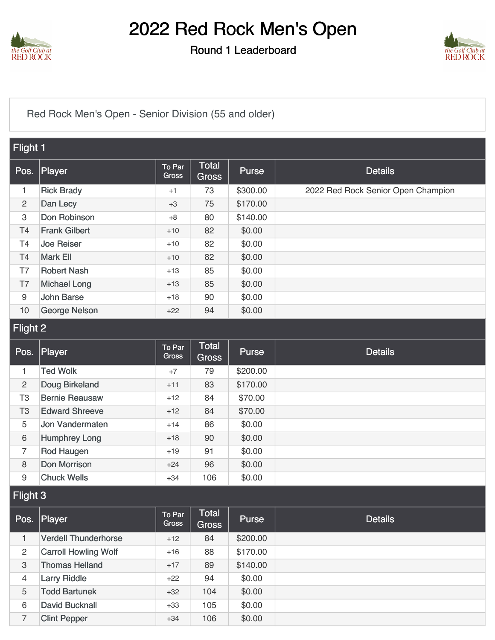

Round 1 Leaderboard



[Red Rock Men's Open - Senior Division \(55 and older\)](https://static.golfgenius.com/v2tournaments/8437224169476740289?called_from=&round_index=1)

| Flight 1       |                      |                        |                              |              |                                    |  |
|----------------|----------------------|------------------------|------------------------------|--------------|------------------------------------|--|
| Pos.           | Player               | To Par<br>Gross        | <b>Total</b><br><b>Gross</b> | Purse        | <b>Details</b>                     |  |
| 1              | <b>Rick Brady</b>    | $+1$                   | 73                           | \$300.00     | 2022 Red Rock Senior Open Champion |  |
| $\overline{2}$ | Dan Lecy             | $+3$                   | 75                           | \$170.00     |                                    |  |
| 3              | Don Robinson         | $+8$                   | 80                           | \$140.00     |                                    |  |
| T4             | <b>Frank Gilbert</b> | $+10$                  | 82                           | \$0.00       |                                    |  |
| <b>T4</b>      | <b>Joe Reiser</b>    | $+10$                  | 82                           | \$0.00       |                                    |  |
| T4             | Mark Ell             | $+10$                  | 82                           | \$0.00       |                                    |  |
| T7             | <b>Robert Nash</b>   | $+13$                  | 85                           | \$0.00       |                                    |  |
| T7             | <b>Michael Long</b>  | $+13$                  | 85                           | \$0.00       |                                    |  |
| 9              | <b>John Barse</b>    | $+18$                  | 90                           | \$0.00       |                                    |  |
| 10             | <b>George Nelson</b> | $+22$                  | 94                           | \$0.00       |                                    |  |
|                | Flight 2             |                        |                              |              |                                    |  |
| Pos.           | Player               | To Par<br><b>Gross</b> | Total<br>Gross               | <b>Purse</b> | <b>Details</b>                     |  |

|                | ו טס. ן ומעשו         | Gross | <b>Gross</b> | $1$ anso | Dudio |
|----------------|-----------------------|-------|--------------|----------|-------|
|                | <b>Ted Wolk</b>       | $+7$  | 79           | \$200.00 |       |
| $\overline{2}$ | Doug Birkeland        | $+11$ | 83           | \$170.00 |       |
| T3             | <b>Bernie Reausaw</b> | $+12$ | 84           | \$70.00  |       |
| T <sub>3</sub> | <b>Edward Shreeve</b> | $+12$ | 84           | \$70.00  |       |
| 5              | Jon Vandermaten       | $+14$ | 86           | \$0.00   |       |
| 6              | <b>Humphrey Long</b>  | $+18$ | 90           | \$0.00   |       |
| 7              | Rod Haugen            | $+19$ | 91           | \$0.00   |       |
| 8              | <b>Don Morrison</b>   | $+24$ | 96           | \$0.00   |       |
| 9              | <b>Chuck Wells</b>    | $+34$ | 106          | \$0.00   |       |

### Flight 3

| Pos. | Player                      | To Par<br>Gross | Total<br><b>Gross</b> | <b>Purse</b> | <b>Details</b> |
|------|-----------------------------|-----------------|-----------------------|--------------|----------------|
|      | <b>Verdell Thunderhorse</b> | $+12$           | 84                    | \$200.00     |                |
| 2    | <b>Carroll Howling Wolf</b> | $+16$           | 88                    | \$170.00     |                |
| 3    | <b>Thomas Helland</b>       | $+17$           | 89                    | \$140.00     |                |
| 4    | <b>Larry Riddle</b>         | $+22$           | 94                    | \$0.00       |                |
| 5    | <b>Todd Bartunek</b>        | $+32$           | 104                   | \$0.00       |                |
| 6    | <b>David Bucknall</b>       | $+33$           | 105                   | \$0.00       |                |
| 7    | <b>Clint Pepper</b>         | $+34$           | 106                   | \$0.00       |                |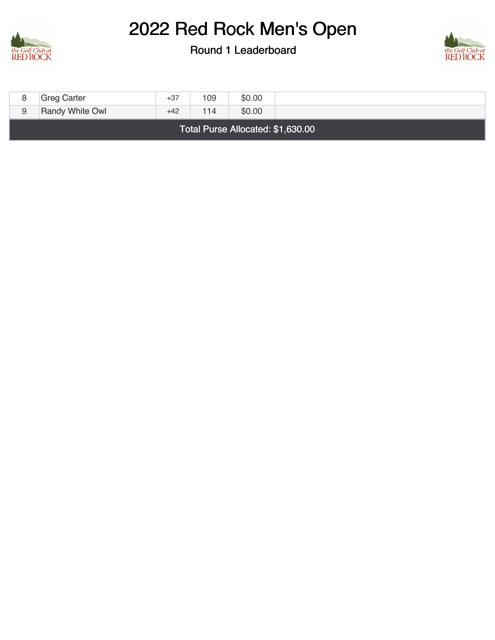

Round 1 Leaderboard



| 8                                 | <b>Greg Carter</b>     | $+37$ | 109 | \$0.00 |  |  |
|-----------------------------------|------------------------|-------|-----|--------|--|--|
| 9                                 | <b>Randy White Owl</b> | $+42$ | 114 | \$0.00 |  |  |
| Total Purse Allocated: \$1,630.00 |                        |       |     |        |  |  |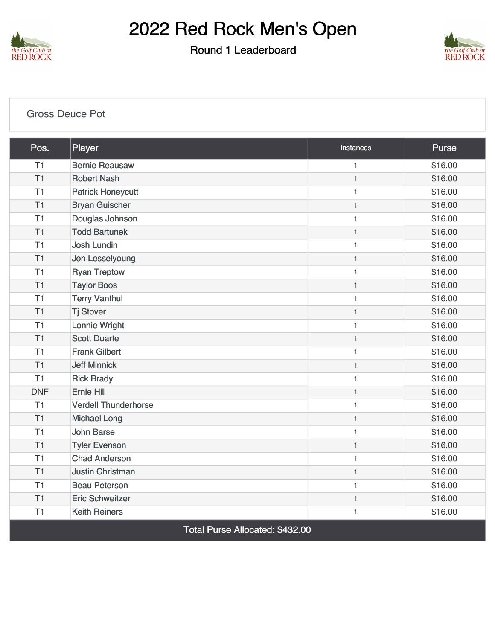

Round 1 Leaderboard



| <b>Gross Deuce Pot</b> |                                                    |                  |              |  |  |
|------------------------|----------------------------------------------------|------------------|--------------|--|--|
| Pos.                   | Player                                             | <b>Instances</b> | <b>Purse</b> |  |  |
| T1                     | <b>Bernie Reausaw</b>                              | $\mathbf{1}$     | \$16.00      |  |  |
| T1                     | <b>Robert Nash</b>                                 | $\mathbf{1}$     | \$16.00      |  |  |
| T1                     | <b>Patrick Honeycutt</b>                           | $\mathbf{1}$     | \$16.00      |  |  |
| T <sub>1</sub>         | <b>Bryan Guischer</b>                              | $\mathbf{1}$     | \$16.00      |  |  |
| T1                     | Douglas Johnson                                    | $\mathbf{1}$     | \$16.00      |  |  |
| T1                     | <b>Todd Bartunek</b>                               | $\mathbf{1}$     | \$16.00      |  |  |
| T1                     | <b>Josh Lundin</b>                                 | $\mathbf{1}$     | \$16.00      |  |  |
| T1                     | Jon Lesselyoung                                    | $\mathbf{1}$     | \$16.00      |  |  |
| T1                     | <b>Ryan Treptow</b>                                | $\mathbf{1}$     | \$16.00      |  |  |
| T1                     | <b>Taylor Boos</b>                                 | $\mathbf{1}$     | \$16.00      |  |  |
| T1                     | <b>Terry Vanthul</b>                               | $\mathbf{1}$     | \$16.00      |  |  |
| T1                     | <b>Tj Stover</b>                                   | $\mathbf{1}$     | \$16.00      |  |  |
| T1                     | Lonnie Wright                                      | $\mathbf{1}$     | \$16.00      |  |  |
| T1                     | <b>Scott Duarte</b>                                | $\mathbf{1}$     | \$16.00      |  |  |
| T1                     | <b>Frank Gilbert</b>                               | $\mathbf{1}$     | \$16.00      |  |  |
| T1                     | <b>Jeff Minnick</b>                                | $\mathbf{1}$     | \$16.00      |  |  |
| T1                     | <b>Rick Brady</b>                                  | $\mathbf{1}$     | \$16.00      |  |  |
| <b>DNF</b>             | <b>Ernie Hill</b>                                  | $\mathbf{1}$     | \$16.00      |  |  |
| T1                     | <b>Verdell Thunderhorse</b>                        | $\mathbf{1}$     | \$16.00      |  |  |
| T1                     | <b>Michael Long</b>                                | $\mathbf{1}$     | \$16.00      |  |  |
| T1                     | <b>John Barse</b>                                  | $\mathbf{1}$     | \$16.00      |  |  |
| T1                     | <b>Tyler Evenson</b>                               | $\mathbf{1}$     | \$16.00      |  |  |
| T1                     | <b>Chad Anderson</b>                               | $\mathbf{1}$     | \$16.00      |  |  |
| T1                     | <b>Justin Christman</b>                            | $\mathbf{1}$     | \$16.00      |  |  |
| T1                     | <b>Beau Peterson</b>                               | $\mathbf{1}$     | \$16.00      |  |  |
| T1                     | <b>Eric Schweitzer</b>                             | $\mathbf{1}$     | \$16.00      |  |  |
| T1                     | <b>Keith Reiners</b>                               | $\mathbf{1}$     | \$16.00      |  |  |
|                        | $T_{\text{shell}}$ Dunce, Allegated: $\phi$ 400.00 |                  |              |  |  |

Total Purse Allocated: \$432.00